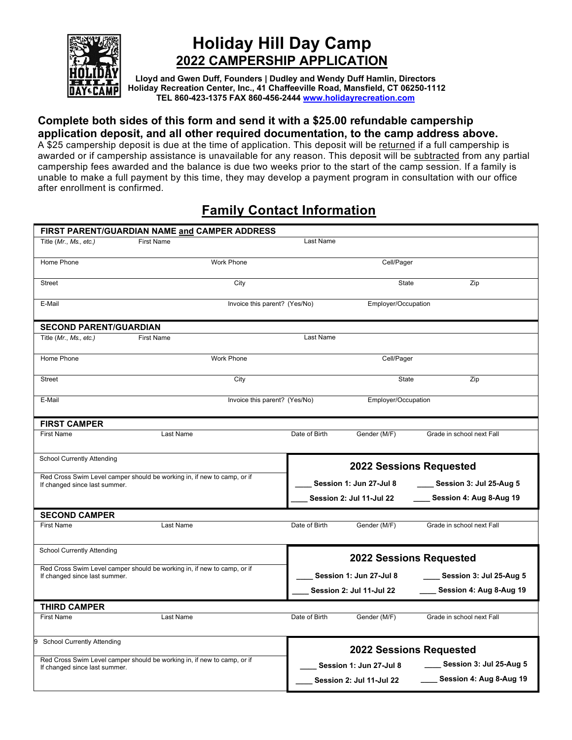

# **Holiday Hill Day Camp 2022 CAMPERSHIP APPLICATION**

**Lloyd and Gwen Duff, Founders | Dudley and Wendy Duff Hamlin, Directors Holiday Recreation Center, Inc., 41 Chaffeeville Road, Mansfield, CT 06250-1112 TEL 860-423-1375 FAX 860-456-244[4 www.holidayrecreation.com](http://www.holidayrecreation.com/)** 

## **Complete both sides of this form and send it with a \$25.00 refundable campership application deposit, and all other required documentation, to the camp address above.**

A \$25 campership deposit is due at the time of application. This deposit will be returned if a full campership is awarded or if campership assistance is unavailable for any reason. This deposit will be subtracted from any partial campership fees awarded and the balance is due two weeks prior to the start of the camp session. If a family is unable to make a full payment by this time, they may develop a payment program in consultation with our office after enrollment is confirmed.

## **Family Contact Information**

| FIRST PARENT/GUARDIAN NAME and CAMPER ADDRESS                                                            |                                                                         |                                |                                |                              |  |  |  |  |
|----------------------------------------------------------------------------------------------------------|-------------------------------------------------------------------------|--------------------------------|--------------------------------|------------------------------|--|--|--|--|
| Title (Mr., Ms., etc.)                                                                                   | Last Name<br><b>First Name</b>                                          |                                |                                |                              |  |  |  |  |
|                                                                                                          |                                                                         |                                |                                |                              |  |  |  |  |
| Home Phone                                                                                               | <b>Work Phone</b>                                                       |                                | Cell/Pager                     |                              |  |  |  |  |
|                                                                                                          |                                                                         |                                |                                |                              |  |  |  |  |
| <b>Street</b>                                                                                            | City                                                                    |                                | State                          | Zip                          |  |  |  |  |
| E-Mail                                                                                                   | Invoice this parent? (Yes/No)                                           |                                | Employer/Occupation            |                              |  |  |  |  |
|                                                                                                          |                                                                         |                                |                                |                              |  |  |  |  |
| <b>SECOND PARENT/GUARDIAN</b>                                                                            |                                                                         |                                |                                |                              |  |  |  |  |
| Title (Mr., Ms., etc.)                                                                                   | <b>First Name</b>                                                       | Last Name                      |                                |                              |  |  |  |  |
|                                                                                                          |                                                                         |                                |                                |                              |  |  |  |  |
| Home Phone                                                                                               | <b>Work Phone</b>                                                       |                                | Cell/Pager                     |                              |  |  |  |  |
|                                                                                                          |                                                                         |                                |                                |                              |  |  |  |  |
| <b>Street</b>                                                                                            | City                                                                    |                                | <b>State</b>                   | Zip                          |  |  |  |  |
|                                                                                                          |                                                                         |                                |                                |                              |  |  |  |  |
| E-Mail                                                                                                   | Invoice this parent? (Yes/No)                                           |                                | Employer/Occupation            |                              |  |  |  |  |
|                                                                                                          |                                                                         |                                |                                |                              |  |  |  |  |
| <b>FIRST CAMPER</b>                                                                                      |                                                                         |                                |                                |                              |  |  |  |  |
| <b>First Name</b>                                                                                        | Last Name                                                               | Date of Birth                  | Gender (M/F)                   | Grade in school next Fall    |  |  |  |  |
|                                                                                                          |                                                                         |                                |                                |                              |  |  |  |  |
| School Currently Attending                                                                               |                                                                         |                                |                                |                              |  |  |  |  |
|                                                                                                          | Red Cross Swim Level camper should be working in, if new to camp, or if | <b>2022 Sessions Requested</b> |                                |                              |  |  |  |  |
| If changed since last summer.                                                                            |                                                                         | Session 1: Jun 27-Jul 8        |                                | ____ Session 3: Jul 25-Aug 5 |  |  |  |  |
|                                                                                                          |                                                                         |                                | Session 2: Jul 11-Jul 22       | Session 4: Aug 8-Aug 19      |  |  |  |  |
|                                                                                                          |                                                                         |                                |                                |                              |  |  |  |  |
| <b>SECOND CAMPER</b>                                                                                     |                                                                         |                                |                                |                              |  |  |  |  |
| <b>First Name</b>                                                                                        | Last Name                                                               | Date of Birth                  | Gender (M/F)                   | Grade in school next Fall    |  |  |  |  |
|                                                                                                          |                                                                         |                                |                                |                              |  |  |  |  |
| School Currently Attending                                                                               |                                                                         |                                |                                |                              |  |  |  |  |
|                                                                                                          | Red Cross Swim Level camper should be working in, if new to camp, or if |                                | <b>2022 Sessions Requested</b> |                              |  |  |  |  |
| If changed since last summer.                                                                            |                                                                         |                                | Session 1: Jun 27-Jul 8        | Session 3: Jul 25-Aug 5      |  |  |  |  |
|                                                                                                          |                                                                         |                                | Session 2: Jul 11-Jul 22       | Session 4: Aug 8-Aug 19      |  |  |  |  |
|                                                                                                          |                                                                         |                                |                                |                              |  |  |  |  |
| <b>THIRD CAMPER</b>                                                                                      |                                                                         |                                |                                |                              |  |  |  |  |
| <b>First Name</b>                                                                                        | Last Name                                                               | Date of Birth                  | Gender (M/F)                   | Grade in school next Fall    |  |  |  |  |
|                                                                                                          |                                                                         |                                |                                |                              |  |  |  |  |
| <b>School Currently Attending</b><br>9                                                                   |                                                                         |                                |                                |                              |  |  |  |  |
|                                                                                                          | <b>2022 Sessions Requested</b>                                          |                                |                                |                              |  |  |  |  |
| Red Cross Swim Level camper should be working in, if new to camp, or if<br>If changed since last summer. |                                                                         | Session 1: Jun 27-Jul 8        | Session 3: Jul 25-Aug 5        |                              |  |  |  |  |
|                                                                                                          |                                                                         |                                | Session 2: Jul 11-Jul 22       | Session 4: Aug 8-Aug 19      |  |  |  |  |
|                                                                                                          |                                                                         |                                |                                |                              |  |  |  |  |